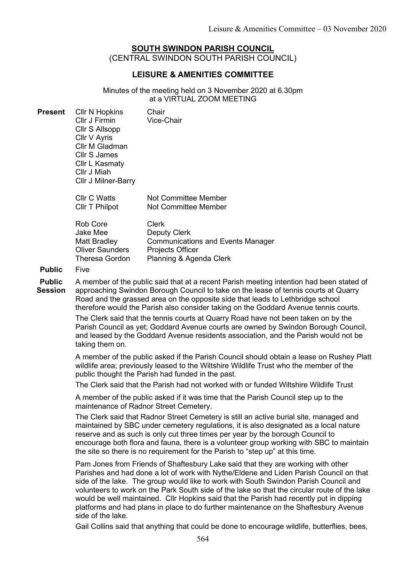## SOUTH SWINDON PARISH COUNCIL (CENTRAL SWINDON SOUTH PARISH COUNCIL)

## LEISURE & AMENITIES COMMITTEE

Minutes of the meeting held on 3 November 2020 at 6.30pm at a VIRTUAL ZOOM MEETING

| <b>CIIr N Hopkins</b><br>Cllr J Firmin<br>Cllr S Allsopp<br>Cllr V Ayris<br>Cllr M Gladman<br>Cllr S James<br>Cllr L Kasmaty<br>Cllr J Miah | Chair<br>Vice-Chair                          |
|---------------------------------------------------------------------------------------------------------------------------------------------|----------------------------------------------|
| <b>Cllr C Watts</b><br>Cllr T Philpot                                                                                                       | Not Committee Member<br>Not Committee Member |
|                                                                                                                                             | <b>CIIr J Milner-Barry</b>                   |

| Rob Core            | Clerk                                    |
|---------------------|------------------------------------------|
| Jake Mee            | <b>Deputy Clerk</b>                      |
| <b>Matt Bradley</b> | <b>Communications and Events Manager</b> |
| Oliver Saunders     | <b>Projects Officer</b>                  |
| Theresa Gordon      | Planning & Agenda Clerk                  |

#### Public Five

Public **Session** A member of the public said that at a recent Parish meeting intention had been stated of approaching Swindon Borough Council to take on the lease of tennis courts at Quarry Road and the grassed area on the opposite side that leads to Lethbridge school therefore would the Parish also consider taking on the Goddard Avenue tennis courts.

> The Clerk said that the tennis courts at Quarry Road have not been taken on by the Parish Council as yet; Goddard Avenue courts are owned by Swindon Borough Council, and leased by the Goddard Avenue residents association, and the Parish would not be taking them on.

A member of the public asked if the Parish Council should obtain a lease on Rushey Platt wildlife area; previously leased to the Wiltshire Wildlife Trust who the member of the public thought the Parish had funded in the past.

The Clerk said that the Parish had not worked with or funded Wiltshire Wildlife Trust

A member of the public asked if it was time that the Parish Council step up to the maintenance of Radnor Street Cemetery.

The Clerk said that Radnor Street Cemetery is still an active burial site, managed and maintained by SBC under cemetery regulations, it is also designated as a local nature reserve and as such is only cut three times per year by the borough Council to encourage both flora and fauna, there is a volunteer group working with SBC to maintain the site so there is no requirement for the Parish to "step up" at this time.

Pam Jones from Friends of Shaftesbury Lake said that they are working with other Parishes and had done a lot of work with Nythe/Eldene and Liden Parish Council on that side of the lake. The group would like to work with South Swindon Parish Council and volunteers to work on the Park South side of the lake so that the circular route of the lake would be well maintained. Cllr Hopkins said that the Parish had recently put in dipping platforms and had plans in place to do further maintenance on the Shaftesbury Avenue side of the lake.

Gail Collins said that anything that could be done to encourage wildlife, butterflies, bees,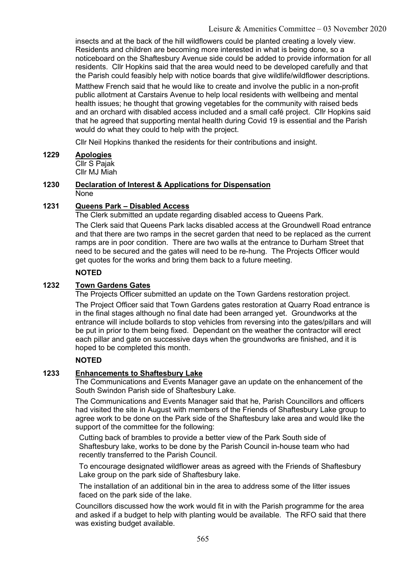insects and at the back of the hill wildflowers could be planted creating a lovely view. Residents and children are becoming more interested in what is being done, so a noticeboard on the Shaftesbury Avenue side could be added to provide information for all residents. Cllr Hopkins said that the area would need to be developed carefully and that the Parish could feasibly help with notice boards that give wildlife/wildflower descriptions.

Matthew French said that he would like to create and involve the public in a non-profit public allotment at Carstairs Avenue to help local residents with wellbeing and mental health issues; he thought that growing vegetables for the community with raised beds and an orchard with disabled access included and a small café project. Cllr Hopkins said that he agreed that supporting mental health during Covid 19 is essential and the Parish would do what they could to help with the project.

Cllr Neil Hopkins thanked the residents for their contributions and insight.

# 1229 Apologies

Cllr S Pajak Cllr MJ Miah

#### 1230 Declaration of Interest & Applications for Dispensation None

## 1231 Queens Park – Disabled Access

The Clerk submitted an update regarding disabled access to Queens Park.

The Clerk said that Queens Park lacks disabled access at the Groundwell Road entrance and that there are two ramps in the secret garden that need to be replaced as the current ramps are in poor condition. There are two walls at the entrance to Durham Street that need to be secured and the gates will need to be re-hung. The Projects Officer would get quotes for the works and bring them back to a future meeting.

## NOTED

## 1232 Town Gardens Gates

The Projects Officer submitted an update on the Town Gardens restoration project.

The Project Officer said that Town Gardens gates restoration at Quarry Road entrance is in the final stages although no final date had been arranged yet. Groundworks at the entrance will include bollards to stop vehicles from reversing into the gates/pillars and will be put in prior to them being fixed. Dependant on the weather the contractor will erect each pillar and gate on successive days when the groundworks are finished, and it is hoped to be completed this month.

## NOTED

## 1233 Enhancements to Shaftesbury Lake

The Communications and Events Manager gave an update on the enhancement of the South Swindon Parish side of Shaftesbury Lake.

The Communications and Events Manager said that he, Parish Councillors and officers had visited the site in August with members of the Friends of Shaftesbury Lake group to agree work to be done on the Park side of the Shaftesbury lake area and would like the support of the committee for the following:

Cutting back of brambles to provide a better view of the Park South side of Shaftesbury lake, works to be done by the Parish Council in-house team who had recently transferred to the Parish Council.

To encourage designated wildflower areas as agreed with the Friends of Shaftesbury Lake group on the park side of Shaftesbury lake.

The installation of an additional bin in the area to address some of the litter issues faced on the park side of the lake.

Councillors discussed how the work would fit in with the Parish programme for the area and asked if a budget to help with planting would be available. The RFO said that there was existing budget available.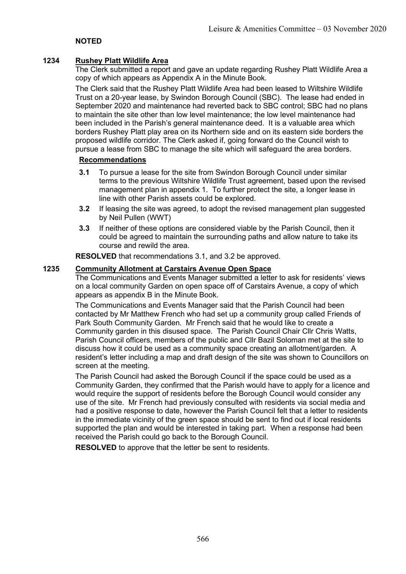## NOTED

### 1234 Rushey Platt Wildlife Area

The Clerk submitted a report and gave an update regarding Rushey Platt Wildlife Area a copy of which appears as Appendix A in the Minute Book.

The Clerk said that the Rushey Platt Wildlife Area had been leased to Wiltshire Wildlife Trust on a 20-year lease, by Swindon Borough Council (SBC). The lease had ended in September 2020 and maintenance had reverted back to SBC control; SBC had no plans to maintain the site other than low level maintenance; the low level maintenance had been included in the Parish's general maintenance deed. It is a valuable area which borders Rushey Platt play area on its Northern side and on its eastern side borders the proposed wildlife corridor. The Clerk asked if, going forward do the Council wish to pursue a lease from SBC to manage the site which will safeguard the area borders.

### Recommendations

- 3.1 To pursue a lease for the site from Swindon Borough Council under similar terms to the previous Wiltshire Wildlife Trust agreement, based upon the revised management plan in appendix 1. To further protect the site, a longer lease in line with other Parish assets could be explored.
- 3.2 If leasing the site was agreed, to adopt the revised management plan suggested by Neil Pullen (WWT)
- 3.3 If neither of these options are considered viable by the Parish Council, then it could be agreed to maintain the surrounding paths and allow nature to take its course and rewild the area.

RESOLVED that recommendations 3.1, and 3.2 be approved.

### 1235 Community Allotment at Carstairs Avenue Open Space

The Communications and Events Manager submitted a letter to ask for residents' views on a local community Garden on open space off of Carstairs Avenue, a copy of which appears as appendix B in the Minute Book.

The Communications and Events Manager said that the Parish Council had been contacted by Mr Matthew French who had set up a community group called Friends of Park South Community Garden. Mr French said that he would like to create a Community garden in this disused space. The Parish Council Chair Cllr Chris Watts, Parish Council officers, members of the public and Cllr Bazil Soloman met at the site to discuss how it could be used as a community space creating an allotment/garden. A resident's letter including a map and draft design of the site was shown to Councillors on screen at the meeting.

The Parish Council had asked the Borough Council if the space could be used as a Community Garden, they confirmed that the Parish would have to apply for a licence and would require the support of residents before the Borough Council would consider any use of the site. Mr French had previously consulted with residents via social media and had a positive response to date, however the Parish Council felt that a letter to residents in the immediate vicinity of the green space should be sent to find out if local residents supported the plan and would be interested in taking part. When a response had been received the Parish could go back to the Borough Council.

RESOLVED to approve that the letter be sent to residents.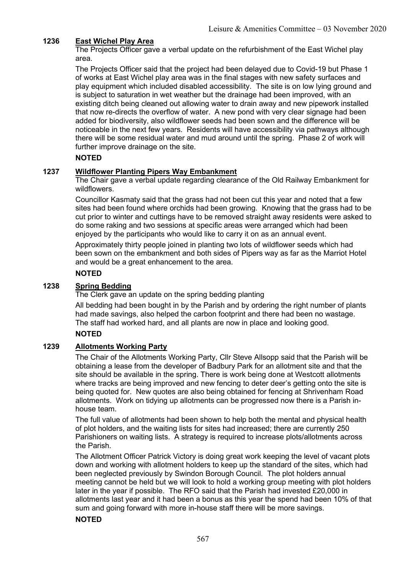## 1236 East Wichel Play Area

The Projects Officer gave a verbal update on the refurbishment of the East Wichel play area.

The Projects Officer said that the project had been delayed due to Covid-19 but Phase 1 of works at East Wichel play area was in the final stages with new safety surfaces and play equipment which included disabled accessibility. The site is on low lying ground and is subject to saturation in wet weather but the drainage had been improved, with an existing ditch being cleaned out allowing water to drain away and new pipework installed that now re-directs the overflow of water. A new pond with very clear signage had been added for biodiversity, also wildflower seeds had been sown and the difference will be noticeable in the next few years. Residents will have accessibility via pathways although there will be some residual water and mud around until the spring. Phase 2 of work will further improve drainage on the site.

### **NOTED**

#### 1237 Wildflower Planting Pipers Way Embankment

The Chair gave a verbal update regarding clearance of the Old Railway Embankment for wildflowers.

Councillor Kasmaty said that the grass had not been cut this year and noted that a few sites had been found where orchids had been growing. Knowing that the grass had to be cut prior to winter and cuttings have to be removed straight away residents were asked to do some raking and two sessions at specific areas were arranged which had been enjoyed by the participants who would like to carry it on as an annual event.

Approximately thirty people joined in planting two lots of wildflower seeds which had been sown on the embankment and both sides of Pipers way as far as the Marriot Hotel and would be a great enhancement to the area.

## NOTED

#### 1238 Spring Bedding

The Clerk gave an update on the spring bedding planting

All bedding had been bought in by the Parish and by ordering the right number of plants had made savings, also helped the carbon footprint and there had been no wastage. The staff had worked hard, and all plants are now in place and looking good.

### **NOTED**

### 1239 Allotments Working Party

The Chair of the Allotments Working Party, Cllr Steve Allsopp said that the Parish will be obtaining a lease from the developer of Badbury Park for an allotment site and that the site should be available in the spring. There is work being done at Westcott allotments where tracks are being improved and new fencing to deter deer's getting onto the site is being quoted for. New quotes are also being obtained for fencing at Shrivenham Road allotments. Work on tidying up allotments can be progressed now there is a Parish inhouse team.

The full value of allotments had been shown to help both the mental and physical health of plot holders, and the waiting lists for sites had increased; there are currently 250 Parishioners on waiting lists. A strategy is required to increase plots/allotments across the Parish.

The Allotment Officer Patrick Victory is doing great work keeping the level of vacant plots down and working with allotment holders to keep up the standard of the sites, which had been neglected previously by Swindon Borough Council. The plot holders annual meeting cannot be held but we will look to hold a working group meeting with plot holders later in the year if possible. The RFO said that the Parish had invested £20,000 in allotments last year and it had been a bonus as this year the spend had been 10% of that sum and going forward with more in-house staff there will be more savings.

#### NOTED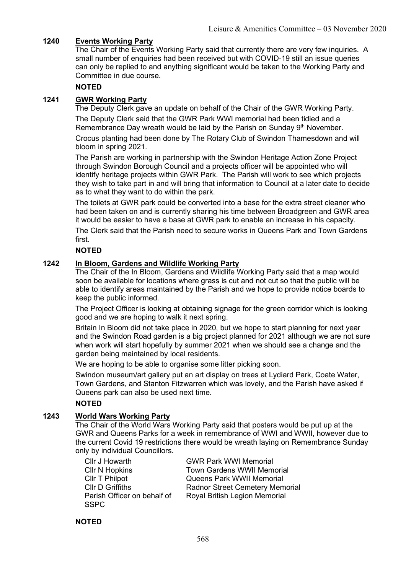## 1240 Events Working Party

The Chair of the Events Working Party said that currently there are very few inquiries. A small number of enquiries had been received but with COVID-19 still an issue queries can only be replied to and anything significant would be taken to the Working Party and Committee in due course.

### NOTED

#### 1241 GWR Working Party

The Deputy Clerk gave an update on behalf of the Chair of the GWR Working Party. The Deputy Clerk said that the GWR Park WWI memorial had been tidied and a Remembrance Day wreath would be laid by the Parish on Sunday  $9<sup>th</sup>$  November.

Crocus planting had been done by The Rotary Club of Swindon Thamesdown and will bloom in spring 2021.

The Parish are working in partnership with the Swindon Heritage Action Zone Project through Swindon Borough Council and a projects officer will be appointed who will identify heritage projects within GWR Park. The Parish will work to see which projects they wish to take part in and will bring that information to Council at a later date to decide as to what they want to do within the park.

The toilets at GWR park could be converted into a base for the extra street cleaner who had been taken on and is currently sharing his time between Broadgreen and GWR area it would be easier to have a base at GWR park to enable an increase in his capacity. The Clerk said that the Parish need to secure works in Queens Park and Town Gardens first.

#### NOTED

#### 1242 In Bloom, Gardens and Wildlife Working Party

The Chair of the In Bloom, Gardens and Wildlife Working Party said that a map would soon be available for locations where grass is cut and not cut so that the public will be able to identify areas maintained by the Parish and we hope to provide notice boards to keep the public informed.

The Project Officer is looking at obtaining signage for the green corridor which is looking good and we are hoping to walk it next spring.

Britain In Bloom did not take place in 2020, but we hope to start planning for next year and the Swindon Road garden is a big project planned for 2021 although we are not sure when work will start hopefully by summer 2021 when we should see a change and the garden being maintained by local residents.

We are hoping to be able to organise some litter picking soon.

Swindon museum/art gallery put an art display on trees at Lydiard Park, Coate Water, Town Gardens, and Stanton Fitzwarren which was lovely, and the Parish have asked if Queens park can also be used next time.

### NOTED

### 1243 World Wars Working Party

The Chair of the World Wars Working Party said that posters would be put up at the GWR and Queens Parks for a week in remembrance of WWI and WWII, however due to the current Covid 19 restrictions there would be wreath laying on Remembrance Sunday only by individual Councillors.

| Cllr J Howarth              | <b>GWR Park WWI Memorial</b>           |
|-----------------------------|----------------------------------------|
| <b>Cllr N Hopkins</b>       | <b>Town Gardens WWII Memorial</b>      |
| Cllr T Philpot              | <b>Queens Park WWII Memorial</b>       |
| <b>CIIr D Griffiths</b>     | <b>Radnor Street Cemetery Memorial</b> |
| Parish Officer on behalf of | Royal British Legion Memorial          |
| <b>SSPC</b>                 |                                        |

NOTED